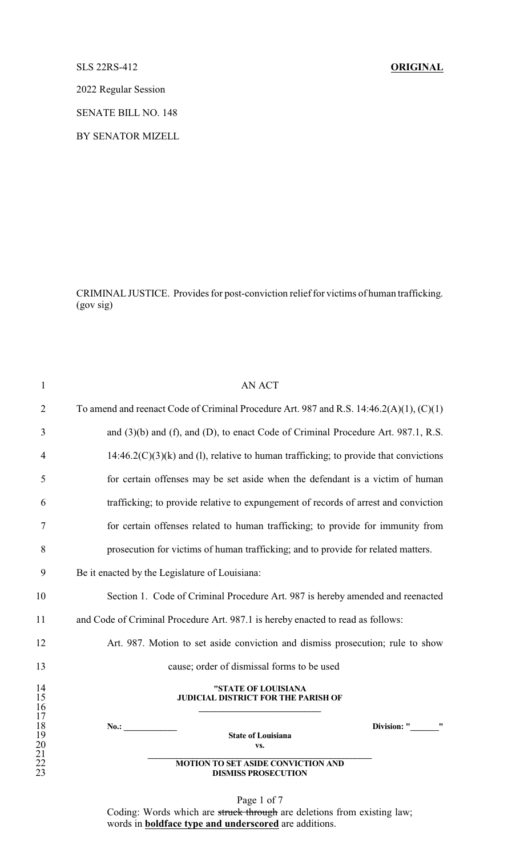## SLS 22RS-412 **ORIGINAL**

2022 Regular Session

SENATE BILL NO. 148

BY SENATOR MIZELL

CRIMINALJUSTICE. Provides for post-conviction relief for victims of human trafficking. (gov sig)

| $\mathbf{1}$         | <b>AN ACT</b>                                                                                |
|----------------------|----------------------------------------------------------------------------------------------|
| $\overline{2}$       | To amend and reenact Code of Criminal Procedure Art. 987 and R.S. $14:46.2(A)(1)$ , $(C)(1)$ |
| 3                    | and (3)(b) and (f), and (D), to enact Code of Criminal Procedure Art. 987.1, R.S.            |
| 4                    | $14:46.2(C)(3)(k)$ and (1), relative to human trafficking; to provide that convictions       |
| 5                    | for certain offenses may be set aside when the defendant is a victim of human                |
| 6                    | trafficking; to provide relative to expungement of records of arrest and conviction          |
| 7                    | for certain offenses related to human trafficking; to provide for immunity from              |
| 8                    | prosecution for victims of human trafficking; and to provide for related matters.            |
| 9                    | Be it enacted by the Legislature of Louisiana:                                               |
| 10                   | Section 1. Code of Criminal Procedure Art. 987 is hereby amended and reenacted               |
| 11                   | and Code of Criminal Procedure Art. 987.1 is hereby enacted to read as follows:              |
| 12                   | Art. 987. Motion to set aside conviction and dismiss prosecution; rule to show               |
| 13                   | cause; order of dismissal forms to be used                                                   |
| 14<br>15<br>16<br>17 | "STATE OF LOUISIANA<br><b>JUDICIAL DISTRICT FOR THE PARISH OF</b>                            |
| 18<br>19             | Division: "<br>No.: $\qquad \qquad$<br><b>State of Louisiana</b>                             |
| 20<br>21             | VS.                                                                                          |
| 22<br>23             | <b>MOTION TO SET ASIDE CONVICTION AND</b><br><b>DISMISS PROSECUTION</b>                      |

Page 1 of 7 Coding: Words which are struck through are deletions from existing law; words in **boldface type and underscored** are additions.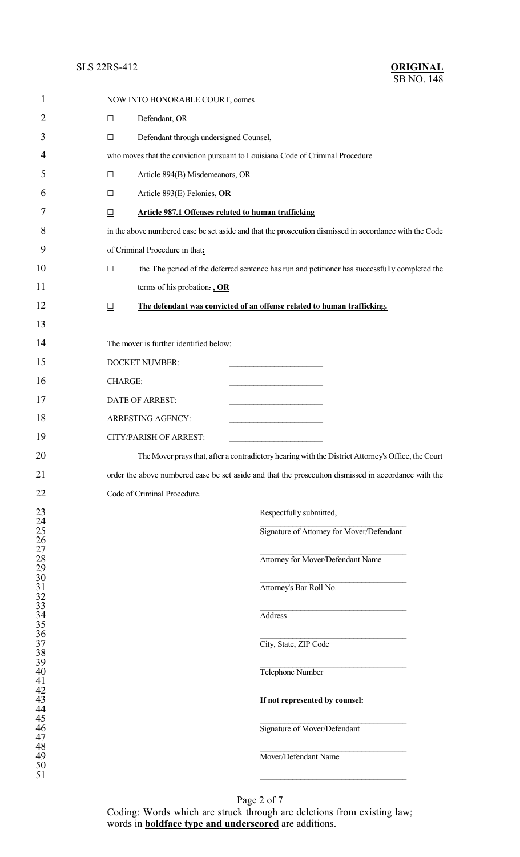## **SLS 22RS-412**

| ORIGINAL          |  |
|-------------------|--|
| <b>SB NO. 148</b> |  |

| 1                                                     |                | NOW INTO HONORABLE COURT, comes                            |                                                                                                        |
|-------------------------------------------------------|----------------|------------------------------------------------------------|--------------------------------------------------------------------------------------------------------|
| $\overline{2}$                                        | $\Box$         | Defendant, OR                                              |                                                                                                        |
| 3                                                     | $\Box$         | Defendant through undersigned Counsel,                     |                                                                                                        |
| 4                                                     |                |                                                            | who moves that the conviction pursuant to Louisiana Code of Criminal Procedure                         |
| 5                                                     | $\Box$         | Article 894(B) Misdemeanors, OR                            |                                                                                                        |
| 6                                                     | $\Box$         | Article 893(E) Felonies, OR                                |                                                                                                        |
| 7                                                     | $\Box$         | <b>Article 987.1 Offenses related to human trafficking</b> |                                                                                                        |
| 8                                                     |                |                                                            | in the above numbered case be set aside and that the prosecution dismissed in accordance with the Code |
| 9                                                     |                | of Criminal Procedure in that:                             |                                                                                                        |
| 10                                                    | $\Box$         |                                                            | the The period of the deferred sentence has run and petitioner has successfully completed the          |
| 11                                                    |                | terms of his probation., OR                                |                                                                                                        |
| 12                                                    | $\Box$         |                                                            | The defendant was convicted of an offense related to human trafficking.                                |
| 13                                                    |                |                                                            |                                                                                                        |
| 14                                                    |                | The mover is further identified below:                     |                                                                                                        |
| 15                                                    |                | <b>DOCKET NUMBER:</b>                                      | the control of the control of the control of the                                                       |
| 16                                                    | <b>CHARGE:</b> |                                                            |                                                                                                        |
| 17                                                    |                | DATE OF ARREST:                                            |                                                                                                        |
| 18                                                    |                | ARRESTING AGENCY:                                          | .                                                                                                      |
| 19                                                    |                | <b>CITY/PARISH OF ARREST:</b>                              |                                                                                                        |
| 20                                                    |                |                                                            | The Mover prays that, after a contradictory hearing with the District Attorney's Office, the Court     |
| 21                                                    |                |                                                            | order the above numbered case be set aside and that the prosecution dismissed in accordance with the   |
| 22                                                    |                | Code of Criminal Procedure.                                |                                                                                                        |
|                                                       |                |                                                            | Respectfully submitted,                                                                                |
|                                                       |                |                                                            | Signature of Attorney for Mover/Defendant                                                              |
|                                                       |                |                                                            | Attorney for Mover/Defendant Name                                                                      |
|                                                       |                |                                                            |                                                                                                        |
|                                                       |                |                                                            | Attorney's Bar Roll No.                                                                                |
|                                                       |                |                                                            | Address                                                                                                |
|                                                       |                |                                                            |                                                                                                        |
|                                                       |                |                                                            | City, State, ZIP Code                                                                                  |
|                                                       |                |                                                            | Telephone Number                                                                                       |
|                                                       |                |                                                            |                                                                                                        |
|                                                       |                |                                                            | If not represented by counsel:                                                                         |
|                                                       |                |                                                            | Signature of Mover/Defendant                                                                           |
|                                                       |                |                                                            |                                                                                                        |
| 22222223333333344444444455123456783333344444444444551 |                |                                                            | Mover/Defendant Name                                                                                   |
|                                                       |                |                                                            |                                                                                                        |

Page 2 of 7 Coding: Words which are struck through are deletions from existing law; words in **boldface type and underscored** are additions.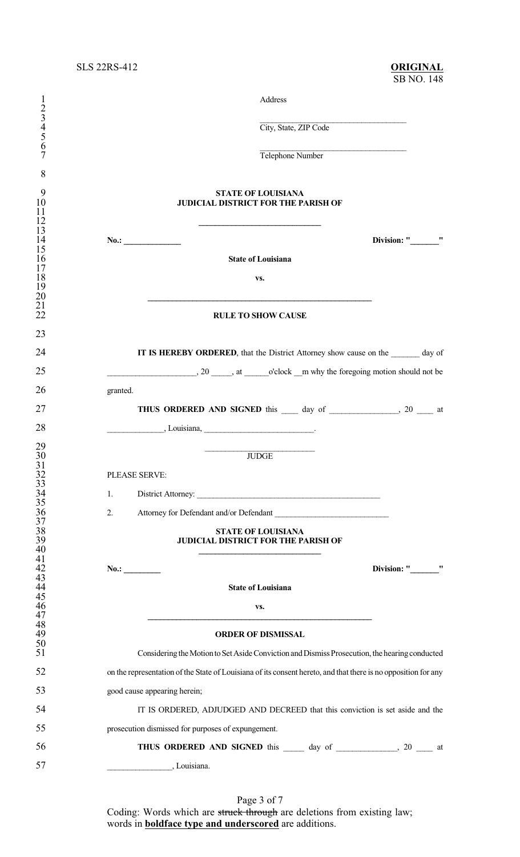| 1<br>234567                                  | Address<br>City, State, ZIP Code                                                                                                                                                                                                                                          |
|----------------------------------------------|---------------------------------------------------------------------------------------------------------------------------------------------------------------------------------------------------------------------------------------------------------------------------|
|                                              |                                                                                                                                                                                                                                                                           |
|                                              | Telephone Number                                                                                                                                                                                                                                                          |
| 8                                            |                                                                                                                                                                                                                                                                           |
| 9<br>10<br>11                                | <b>STATE OF LOUISIANA</b><br><b>JUDICIAL DISTRICT FOR THE PARISH OF</b>                                                                                                                                                                                                   |
| 12<br>13                                     |                                                                                                                                                                                                                                                                           |
| 14<br>15                                     | Division: "<br>No.:                                                                                                                                                                                                                                                       |
| 16<br>17                                     | <b>State of Louisiana</b>                                                                                                                                                                                                                                                 |
| 18<br>19                                     | VS.                                                                                                                                                                                                                                                                       |
| 20<br>21                                     |                                                                                                                                                                                                                                                                           |
| 22                                           | <b>RULE TO SHOW CAUSE</b>                                                                                                                                                                                                                                                 |
| 23                                           |                                                                                                                                                                                                                                                                           |
| 24                                           | IT IS HEREBY ORDERED, that the District Attorney show cause on the day of                                                                                                                                                                                                 |
| 25                                           | $\frac{1}{2}$ , 20 $\frac{1}{2}$ , at $\frac{1}{2}$ o'clock $\frac{1}{2}$ m why the foregoing motion should not be                                                                                                                                                        |
| 26                                           | granted.                                                                                                                                                                                                                                                                  |
| 27                                           |                                                                                                                                                                                                                                                                           |
| 28                                           | $\frac{1}{2}$ Louisiana, $\frac{1}{2}$ Louisiana, $\frac{1}{2}$ Louisiana, $\frac{1}{2}$ Louisiana, $\frac{1}{2}$ Louisiana, $\frac{1}{2}$ Louisiana, $\frac{1}{2}$ Louisiana, $\frac{1}{2}$ Louisiana, $\frac{1}{2}$ Louisiana, $\frac{1}{2}$ Louisiana, $\frac{1}{2}$ L |
| $\frac{29}{30}$                              | <b>JUDGE</b>                                                                                                                                                                                                                                                              |
| 31                                           | PLEASE SERVE:                                                                                                                                                                                                                                                             |
|                                              |                                                                                                                                                                                                                                                                           |
| $32$<br>$33$<br>$34$<br>$35$<br>$36$<br>$37$ | 1.                                                                                                                                                                                                                                                                        |
|                                              | Attorney for Defendant and/or Defendant<br>2.                                                                                                                                                                                                                             |
| $\frac{38}{39}$<br>40                        | <b>STATE OF LOUISIANA</b><br><b>JUDICIAL DISTRICT FOR THE PARISH OF</b>                                                                                                                                                                                                   |
| $\frac{41}{42}$                              |                                                                                                                                                                                                                                                                           |
| 43                                           | Division: " "<br>No.:                                                                                                                                                                                                                                                     |
| 44<br>45                                     | <b>State of Louisiana</b>                                                                                                                                                                                                                                                 |
| $\frac{46}{47}$                              | VS.                                                                                                                                                                                                                                                                       |
| 48<br>49                                     | <b>ORDER OF DISMISSAL</b>                                                                                                                                                                                                                                                 |
| 50<br>51                                     | Considering the Motion to Set Aside Conviction and Dismiss Prosecution, the hearing conducted                                                                                                                                                                             |
| 52                                           | on the representation of the State of Louisiana of its consent hereto, and that there is no opposition for any                                                                                                                                                            |
| 53                                           | good cause appearing herein;                                                                                                                                                                                                                                              |
| 54                                           | IT IS ORDERED, ADJUDGED AND DECREED that this conviction is set aside and the                                                                                                                                                                                             |
| 55                                           | prosecution dismissed for purposes of expungement.                                                                                                                                                                                                                        |
| 56                                           | THUS ORDERED AND SIGNED this ______ day of _______________, 20 ____ at                                                                                                                                                                                                    |
| 57                                           | , Louisiana.                                                                                                                                                                                                                                                              |

Page 3 of 7 Coding: Words which are struck through are deletions from existing law; words in **boldface type and underscored** are additions.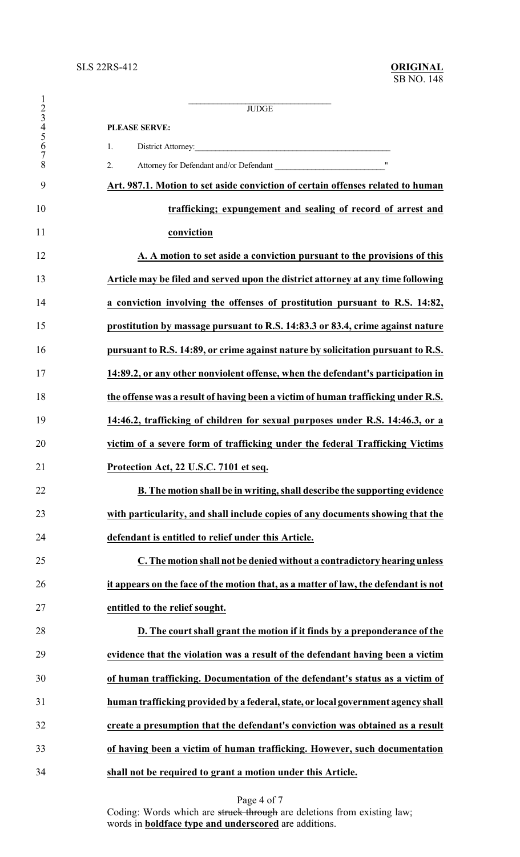|                               | $J\!U\!D\!G\!E$                                                                     |
|-------------------------------|-------------------------------------------------------------------------------------|
| $\frac{1}{2}$ $\frac{3}{4}$ 5 | <b>PLEASE SERVE:</b>                                                                |
| 6                             | District Attorney:<br>1.                                                            |
| $\overline{7}$<br>8           | 2.                                                                                  |
| 9                             | Art. 987.1. Motion to set aside conviction of certain offenses related to human     |
| 10                            | trafficking; expungement and sealing of record of arrest and                        |
| 11                            | conviction                                                                          |
| 12                            | A. A motion to set aside a conviction pursuant to the provisions of this            |
| 13                            | Article may be filed and served upon the district attorney at any time following    |
| 14                            | a conviction involving the offenses of prostitution pursuant to R.S. 14:82,         |
| 15                            | prostitution by massage pursuant to R.S. 14:83.3 or 83.4, crime against nature      |
| 16                            | pursuant to R.S. 14:89, or crime against nature by solicitation pursuant to R.S.    |
| 17                            | 14:89.2, or any other nonviolent offense, when the defendant's participation in     |
| 18                            | the offense was a result of having been a victim of human trafficking under R.S.    |
| 19                            | 14:46.2, trafficking of children for sexual purposes under R.S. 14:46.3, or a       |
| 20                            | victim of a severe form of trafficking under the federal Trafficking Victims        |
| 21                            | Protection Act, 22 U.S.C. 7101 et seq.                                              |
| 22                            | B. The motion shall be in writing, shall describe the supporting evidence           |
| 23                            | with particularity, and shall include copies of any documents showing that the      |
| 24                            | defendant is entitled to relief under this Article.                                 |
| 25                            | C. The motion shall not be denied without a contradictory hearing unless            |
| 26                            | it appears on the face of the motion that, as a matter of law, the defendant is not |
| 27                            | entitled to the relief sought.                                                      |
| 28                            | D. The court shall grant the motion if it finds by a preponderance of the           |
| 29                            | evidence that the violation was a result of the defendant having been a victim      |
| 30                            | of human trafficking. Documentation of the defendant's status as a victim of        |
| 31                            | human trafficking provided by a federal, state, or local government agency shall    |
| 32                            | create a presumption that the defendant's conviction was obtained as a result       |
| 33                            | of having been a victim of human trafficking. However, such documentation           |
| 34                            | shall not be required to grant a motion under this Article.                         |

Page 4 of 7

Coding: Words which are struck through are deletions from existing law; words in **boldface type and underscored** are additions.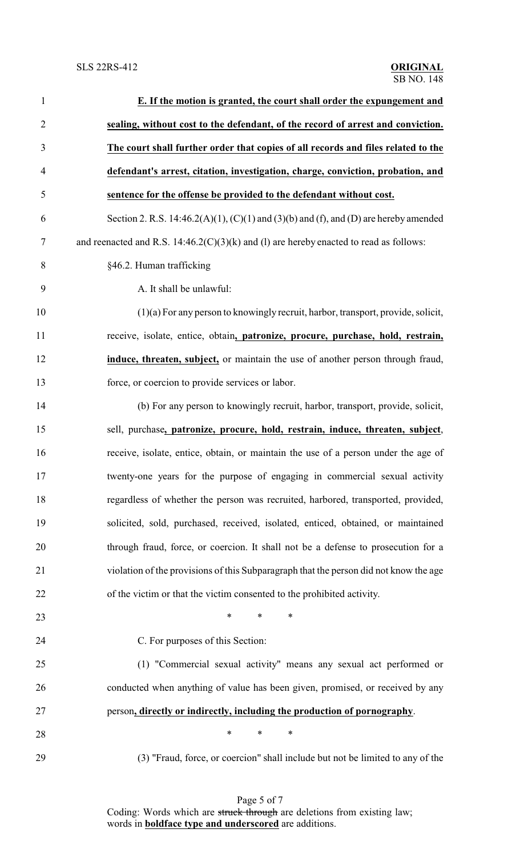| $\mathbf{1}$   | E. If the motion is granted, the court shall order the expungement and                   |
|----------------|------------------------------------------------------------------------------------------|
| $\overline{2}$ | sealing, without cost to the defendant, of the record of arrest and conviction.          |
| 3              | The court shall further order that copies of all records and files related to the        |
| $\overline{4}$ | defendant's arrest, citation, investigation, charge, conviction, probation, and          |
| 5              | sentence for the offense be provided to the defendant without cost.                      |
| 6              | Section 2. R.S. 14:46.2(A)(1), (C)(1) and (3)(b) and (f), and (D) are hereby amended     |
| 7              | and reenacted and R.S. $14:46.2(C)(3)(k)$ and (1) are hereby enacted to read as follows: |
| 8              | §46.2. Human trafficking                                                                 |
| 9              | A. It shall be unlawful:                                                                 |
| 10             | $(1)(a)$ For any person to knowingly recruit, harbor, transport, provide, solicit,       |
| 11             | receive, isolate, entice, obtain, patronize, procure, purchase, hold, restrain,          |
| 12             | induce, threaten, subject, or maintain the use of another person through fraud,          |
| 13             | force, or coercion to provide services or labor.                                         |
| 14             | (b) For any person to knowingly recruit, harbor, transport, provide, solicit,            |
| 15             | sell, purchase, patronize, procure, hold, restrain, induce, threaten, subject,           |
| 16             | receive, isolate, entice, obtain, or maintain the use of a person under the age of       |
| 17             | twenty-one years for the purpose of engaging in commercial sexual activity               |
| 18             | regardless of whether the person was recruited, harbored, transported, provided,         |
| 19             | solicited, sold, purchased, received, isolated, enticed, obtained, or maintained         |
| 20             | through fraud, force, or coercion. It shall not be a defense to prosecution for a        |
| 21             | violation of the provisions of this Subparagraph that the person did not know the age    |
| 22             | of the victim or that the victim consented to the prohibited activity.                   |
| 23             | *<br>$\ast$<br>$\ast$                                                                    |
| 24             | C. For purposes of this Section:                                                         |
| 25             | (1) "Commercial sexual activity" means any sexual act performed or                       |
| 26             | conducted when anything of value has been given, promised, or received by any            |
| 27             | person, directly or indirectly, including the production of pornography.                 |
| 28             | $\ast$<br>$\ast$<br>$\ast$                                                               |
| 29             | (3) "Fraud, force, or coercion" shall include but not be limited to any of the           |

Page 5 of 7 Coding: Words which are struck through are deletions from existing law; words in **boldface type and underscored** are additions.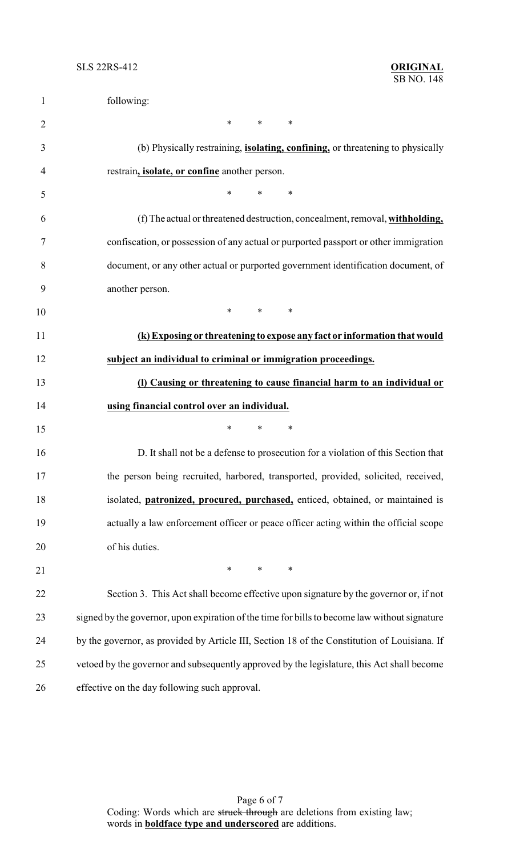| $\mathbf{1}$   | following:                                                                                                                    |
|----------------|-------------------------------------------------------------------------------------------------------------------------------|
| $\overline{2}$ | $*$ and $*$<br>$*$<br>∗                                                                                                       |
| 3              | (b) Physically restraining, <i>isolating, confining</i> , or threatening to physically                                        |
| 4              | restrain, <i>isolate</i> , or confine another person.                                                                         |
| 5              | *<br>$\ast$<br>$\ast$                                                                                                         |
| 6              | (f) The actual or threatened destruction, concealment, removal, withholding,                                                  |
| 7              | confiscation, or possession of any actual or purported passport or other immigration                                          |
| 8              | document, or any other actual or purported government identification document, of                                             |
| 9              | another person.                                                                                                               |
| 10             | $\ast$<br>$*$ and $*$<br>$\ast$                                                                                               |
| 11             | (k) Exposing or threatening to expose any fact or information that would                                                      |
| 12             | subject an individual to criminal or immigration proceedings.                                                                 |
| 13             | (I) Causing or threatening to cause financial harm to an individual or                                                        |
| 14             | using financial control over an individual.                                                                                   |
| 15             | *<br>$\ast$<br>$\ast$                                                                                                         |
| 16             | D. It shall not be a defense to prosecution for a violation of this Section that                                              |
| 17             | the person being recruited, harbored, transported, provided, solicited, received,                                             |
| 18             | isolated, <i>patronized</i> , <i>procured</i> , <i>purchased</i> , <i>enticed</i> , <i>obtained</i> , <i>or maintained is</i> |
| 19             | actually a law enforcement officer or peace officer acting within the official scope                                          |
| 20             | of his duties.                                                                                                                |
| 21             | $*$ $*$<br>$*$<br>$\ast$                                                                                                      |
| 22             | Section 3. This Act shall become effective upon signature by the governor or, if not                                          |
| 23             | signed by the governor, upon expiration of the time for bills to become law without signature                                 |
| 24             | by the governor, as provided by Article III, Section 18 of the Constitution of Louisiana. If                                  |
| 25             | vetoed by the governor and subsequently approved by the legislature, this Act shall become                                    |
| 26             | effective on the day following such approval.                                                                                 |